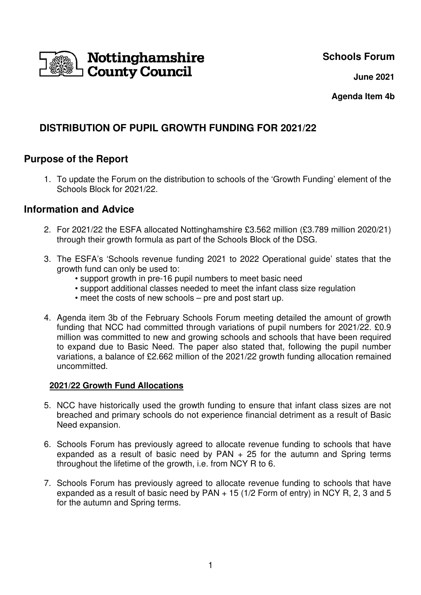# **Schools Forum**



 **June 2021**

**Agenda Item 4b** 

# **DISTRIBUTION OF PUPIL GROWTH FUNDING FOR 2021/22**

# **Purpose of the Report**

1. To update the Forum on the distribution to schools of the 'Growth Funding' element of the Schools Block for 2021/22.

### **Information and Advice**

- 2. For 2021/22 the ESFA allocated Nottinghamshire £3.562 million (£3.789 million 2020/21) through their growth formula as part of the Schools Block of the DSG.
- 3. The ESFA's 'Schools revenue funding 2021 to 2022 Operational guide' states that the growth fund can only be used to:
	- support growth in pre-16 pupil numbers to meet basic need
	- support additional classes needed to meet the infant class size regulation
	- meet the costs of new schools pre and post start up.
- 4. Agenda item 3b of the February Schools Forum meeting detailed the amount of growth funding that NCC had committed through variations of pupil numbers for 2021/22. £0.9 million was committed to new and growing schools and schools that have been required to expand due to Basic Need. The paper also stated that, following the pupil number variations, a balance of £2.662 million of the 2021/22 growth funding allocation remained uncommitted.

### **2021/22 Growth Fund Allocations**

- 5. NCC have historically used the growth funding to ensure that infant class sizes are not breached and primary schools do not experience financial detriment as a result of Basic Need expansion.
- 6. Schools Forum has previously agreed to allocate revenue funding to schools that have expanded as a result of basic need by  $PAN + 25$  for the autumn and Spring terms throughout the lifetime of the growth, i.e. from NCY R to 6.
- 7. Schools Forum has previously agreed to allocate revenue funding to schools that have expanded as a result of basic need by PAN + 15 (1/2 Form of entry) in NCY R, 2, 3 and 5 for the autumn and Spring terms.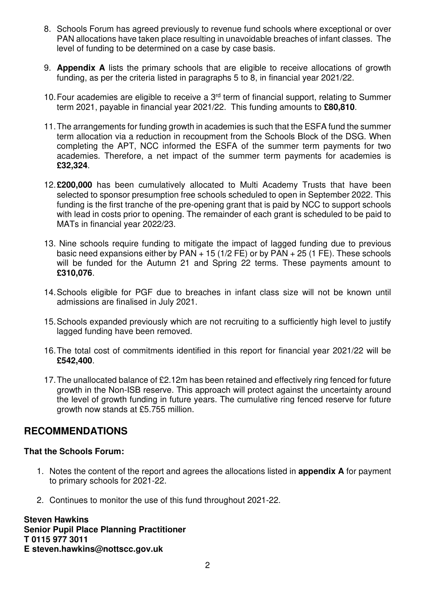- 8. Schools Forum has agreed previously to revenue fund schools where exceptional or over PAN allocations have taken place resulting in unavoidable breaches of infant classes. The level of funding to be determined on a case by case basis.
- 9. **Appendix A** lists the primary schools that are eligible to receive allocations of growth funding, as per the criteria listed in paragraphs 5 to 8, in financial year 2021/22.
- 10. Four academies are eligible to receive a  $3<sup>rd</sup>$  term of financial support, relating to Summer term 2021, payable in financial year 2021/22. This funding amounts to **£80,810**.
- 11. The arrangements for funding growth in academies is such that the ESFA fund the summer term allocation via a reduction in recoupment from the Schools Block of the DSG. When completing the APT, NCC informed the ESFA of the summer term payments for two academies. Therefore, a net impact of the summer term payments for academies is **£32,324**.
- 12. **£200,000** has been cumulatively allocated to Multi Academy Trusts that have been selected to sponsor presumption free schools scheduled to open in September 2022. This funding is the first tranche of the pre-opening grant that is paid by NCC to support schools with lead in costs prior to opening. The remainder of each grant is scheduled to be paid to MATs in financial year 2022/23.
- 13. Nine schools require funding to mitigate the impact of lagged funding due to previous basic need expansions either by PAN  $+$  15 (1/2 FE) or by PAN  $+$  25 (1 FE). These schools will be funded for the Autumn 21 and Spring 22 terms. These payments amount to **£310,076**.
- 14. Schools eligible for PGF due to breaches in infant class size will not be known until admissions are finalised in July 2021.
- 15. Schools expanded previously which are not recruiting to a sufficiently high level to justify lagged funding have been removed.
- 16. The total cost of commitments identified in this report for financial year 2021/22 will be **£542,400**.
- 17. The unallocated balance of £2.12m has been retained and effectively ring fenced for future growth in the Non-ISB reserve. This approach will protect against the uncertainty around the level of growth funding in future years. The cumulative ring fenced reserve for future growth now stands at £5.755 million.

# **RECOMMENDATIONS**

### **That the Schools Forum:**

- 1. Notes the content of the report and agrees the allocations listed in **appendix A** for payment to primary schools for 2021-22.
- 2. Continues to monitor the use of this fund throughout 2021-22.

**Steven Hawkins Senior Pupil Place Planning Practitioner T 0115 977 3011 E steven.hawkins@nottscc.gov.uk**